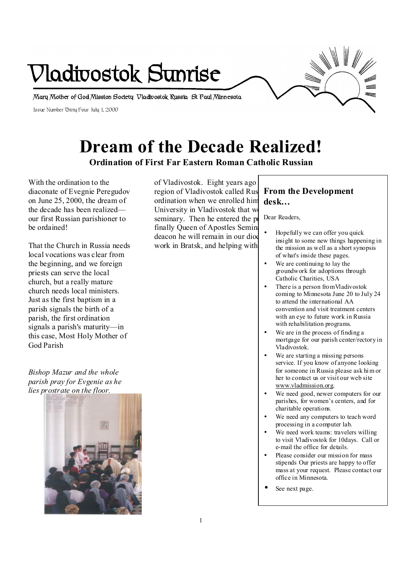

# **Dream of the Decade Realized!**

**Ordination of First Far Eastern Roman Catholic Russian** 

With the ordination to the diaconate of Evegnie Peregudov on June 25, 2000, the dream of the decade has been realized our first Russian parishioner to be ordained!

That the Church in Russia needs local vocations was clear from the beginning, and we foreign priests can serve the local church, but a really mature church needs local ministers. Just as the first baptism in a parish signals the birth of a parish, the first ordination signals a parish's maturity—in this case, Most Holy Mother of God Parish

*Bishop Mazur and the whole parish pray for Evgenie as he lies prostrate on the floor.* 



of Vladivostok. Eight years ago region of Vladivostok called Rus ordination when we enrolled him University in Vladivostok that we seminary. Then he entered the  $pi$ finally Queen of Apostles Seminary deacon he will remain in our diod work in Bratsk, and helping with

## **From the Development desk…**

Dear Readers,

- Hopefully we can offer you quick insight to some new things happening in the mission as well as a short synopsis of what's inside these pages.
- We are continuing to lay the groundwork for adoptions through Catholic Charities, USA
- There is a person from Vladivostok coming to Minnesota June 20 to July 24 to attend the international AA convention and visit treatment centers with an eye to future work in Russia with rehabilitation programs.
- We are in the process of finding a mortgage for our parish center/rectory in Vladivostok.
- We are starting a missing persons service. If you know of anyone looking for someone in Russia please ask him or her to contact us or visit our web site [www.vladmission.org](http://www.vladmission.org).
- We need good, newer computers for our parishes, for women's centers, and for charitable operations.
- We need any computers to teach word processing in a computer lab.
- We need work teams: travelers willing to visit Vladivostok for 10days. Call or e-mail the office for details.
- Please consider our mission for mass stipends Our priests are happy to offer mass at your request. Please contact our office in Minnesota.
- See next page.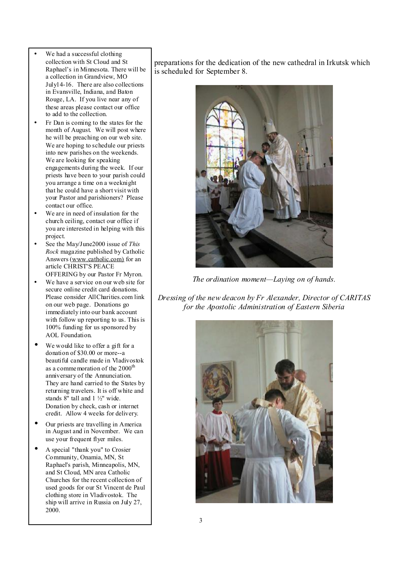- We had a successful clothing collection with St Cloud and St Raphael's in Minnesota. There will be a collection in Grandview, MO July14-16. There are also collections in Evansville, Indiana, and Baton Rouge, LA. If you live near any of these areas please contact our office to add to the collection.
- Fr Dan is coming to the states for the month of August. We will post where he will be preaching on our web site. We are hoping to schedule our priests into new parishes on the weekends. We are looking for speaking engagements during the week. If our priests have been to your parish could you arrange a time on a weeknight that he could have a short visit with your Pastor and parishioners? Please contact our office.
- We are in need of insulation for the church ceiling, contact our office if you are interested in helping with this project.
- See the May/June2000 issue of *This Rock* magazine published by Catholic Answers ([www.catholic.com\)](http://www.catholic.com)) for an article CHRIST'S PEACE OFFERING by our Pastor Fr Myron.
- We have a service on our web site for secure online credit card donations. Please consider AllCharities.com link on our web page. Donations go immediately into our bank account with follow up reporting to us. This is 100% funding for us sponsored by AOL Foundation.
- We would like to offer a gift for a donation of \$30.00 or more--a beautiful candle made in Vladivostok as a commemoration of the 2000<sup>th</sup> anniversary of the Annunciation. They are hand carried to the States by returning travelers. It is off white and stands 8" tall and 1 ½" wide. Donation by check, cash or internet credit. Allow 4 weeks for delivery.
- Our priests are travelling in America in August and in November. We can use your frequent flyer miles.
- A special "thank you" to Crosier Community, Onamia, MN, St Raphael's parish, Minneapolis, MN, and St Cloud, MN area Catholic Churches for the recent collection of used goods for our St Vincent de Paul clothing store in Vladivostok. The ship will arrive in Russia on July 27, 2000.

preparations for the dedication of the new cathedral in Irkutsk which is scheduled for September 8.



*The ordination moment—Laying on of hands.* 

*Dressing of the new deacon by Fr Alexander, Director of CARITAS for the Apostolic Administration of Eastern Siberia* 

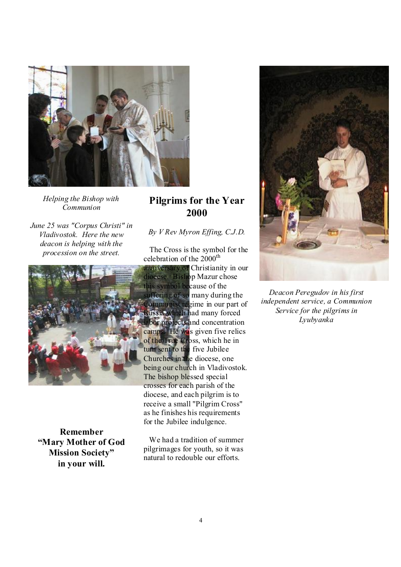

*Helping the Bishop with Communion* 

*June 25 was "Corpus Christi" in Vladivostok. Here the new deacon is helping with the procession on the street.* 



**Remember "Mary Mother of God Mission Society" in your will.** 

# **Pilgrims for the Year 2000**

#### *By V Rev Myron Effing, C.J.D.*

 The Cross is the symbol for the celebration of the  $2000^{\text{th}}$ 

anniversary of Christianity in our diocese. Bishop Mazur chose this symbol because of the ffering of so many during the Communist regime in our part of Russia which had many forced bor projects and concentration camps. He was given five relics of the True Cross, which he in turn sent to the five Jubilee Churches in the diocese, one being our church in Vladivostok. The bishop blessed special crosses for each parish of the diocese, and each pilgrim is to receive a small "Pilgrim Cross" as he finishes his requirements for the Jubilee indulgence.

 We had a tradition of summer pilgrimages for youth, so it was natural to redouble our efforts.



*Deacon Peregudov in his first independent service, a Communion Service for the pilgrims in Lyubyanka*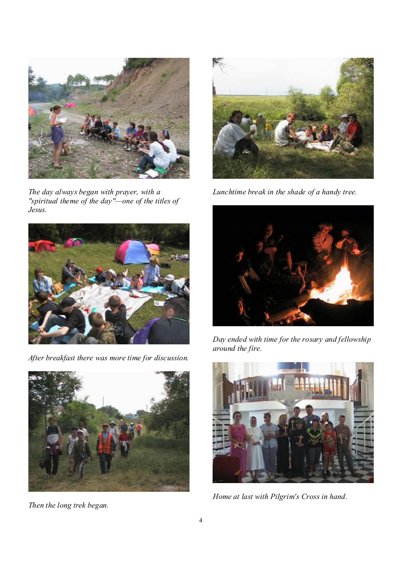

*The day always began with prayer, with a "spiritual theme of the day"—one of the titles of Jesus.* 



*After breakfast there was more time for discussion.* 



*Then the long trek began.* 



*Lunchtime break in the shade of a handy tree.* 



*Day ended with time for the rosary and fellowship around the fire.* 



*Home at last with Pilgrim's Cross in hand.*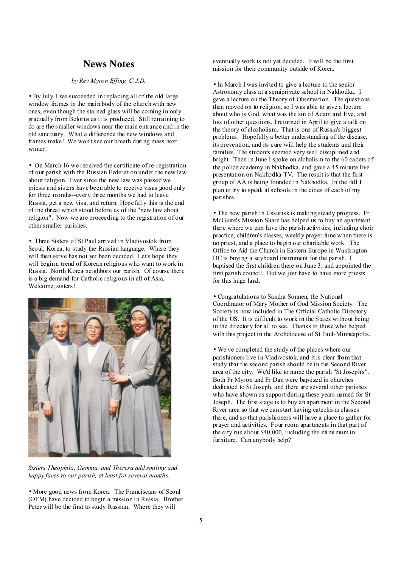### **News Notes**

#### *by Rev Myron Effing, C.J.D.*

• By July 1 we succeeded in replacing all of the old large window frames in the main body of the church with new ones, even though the stained glass will be coming in only gradually from Belorus as it is produced. Still remaining to do are the smaller windows near the main entrance and in the old sanctuary. What a difference the new windows and frames make! We won't see our breath during mass next winter!

• On March 16 we received the certificate of re-registration of our parish with the Russian Federation under the new law about religion. Ever since the new law was passed we priests and sisters have been able to receive visas good only for three months--every three months we had to leave Russia, get a new visa, and return. Hopefully this is the end of the threat which stood before us of the "new law about religion". Now we are proceeding to the registration of our other smaller parishes.

•. Three Sisters of St Paul arrived in Vladivostok from Seoul, Korea, to study the Russian language. Where they will then serve has not yet been decided. Let's hope they will begin a trend of Korean religious who want to work in Russia. North Korea neighbors our parish. Of course there is a big demand for Catholic religious in all of Asia. Welcome, sisters!



*Sisters Theophila, Gemma, and Theresa add smiling and happy faces to our parish, at least for several months.* 

• More good news from Korea: The Franciscans of Seoul (OFM) have decided to begin a mission in Russia. Brother Peter will be the first to study Russian. Where they will

eventually work is not yet decided. It will be the first mission for their community outside of Korea.

• In March I was invited to give a lecture to the senior Astronomy class at a semiprivate school in Nakhodka. I gave a lecture on the Theory of Observation. The questions then moved on to religion, so I was able to give a lecture about who is God, what was the sin of Adam and Eve, and lots of other questions. I returned in April to give a talk on the theory of alcoholism. That is one of Russia's biggest problems. Hopefully a better understanding of the disease, its prevention, and its cure will help the students and their families. The students seemed very well disciplined and bright. Then in June I spoke on alcholism to the 60 cadets of the police academy in Nakhodka, and gave a 45 minute live presentation on Nakhodka TV. The result is that the first group of AA is being founded in Nakhodka. In the fall I plan to try to speak at schools in the cities of each of my parishes.

• The new parish in Ussurisk is making steady progress. Fr McGuire's Mission Share has helped us to buy an apartment there where we can have the parish activities, including choir practice, children's classes, weekly prayer time when there is no priest, and a place to begin our charitable work. The Office to Aid the Church in Eastern Europe in Washington DC is buying a keyboard instrument for the parish. I baptised the first children there on June 3, and appointed the first parish council. But we just have to have more priests for this huge land.

• Congratulations to Sandra Sonnen, the National Coordinator of Mary Mother of God Mission Society. The Society is now included in The Official Catholic Directory of the US. It is difficult to work in the States without being in the directory for all to see. Thanks to those who helped with this project in the Archdiocese of St Paul-Minneapolis.

• We've completed the study of the places where our parishioners live in Vladivostok, and it is clear from that study that the second parish should be in the Second River area of the city. We'd like to name the parish "St Joseph's". Both Fr Myron and Fr Dan were baptized in churches dedicated to St Joseph, and there are several other parishes who have shown us support during these years named for St Joseph. The first stage is to buy an apartment in the Second River area so that we can start having catechism classes there, and so that parishioners will have a place to gather for prayer and activities. Four room apartments in that part of the city run about \$40,000, including the mimimum in furniture. Can anybody help?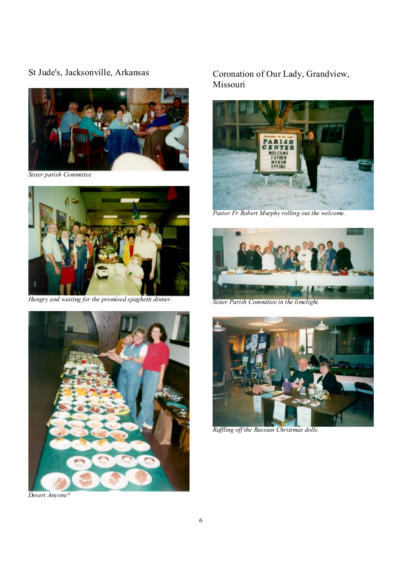St Jude's, Jacksonville, Arkansas



*Sister parish Committee* 



*Hungry and waiting for the promised spaghetti dinner.* 



*Desert Anyone?* 

Coronation of Our Lady, Grandview, Missouri



*Pastor Fr Robert Murphy rolling out the welcome.* 



*Sister Parish Committee in the limelight.* 



*Raffling off the Russian Christmas dolls.*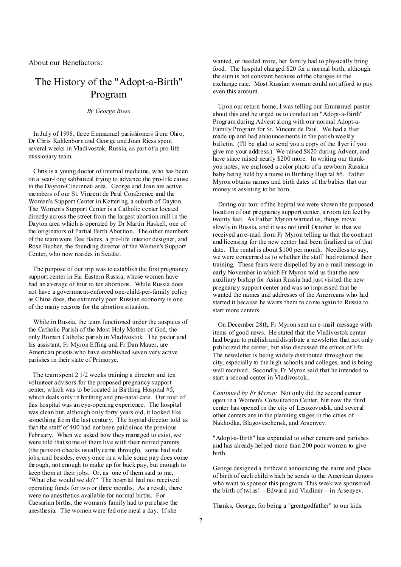About our Benefactors:

## The History of the "Adopt-a-Birth" Program

*By George Riess* 

In July of 1998, three Emmanuel parishioners from Ohio, Dr Chris Kahlenborn and George and Joan Riess spent several weeks in Vladivostok, Russia, as part of a pro-life missionary team.

Chris is a young doctor of internal medicine, who has been on a year-long sabbatical trying to advance the pro-life cause in the Dayton-Cincinnati area. George and Joan are active members of our St. Vincent de Paul Conference and the Women's Support Center in Kettering, a suburb of Dayton. The Women's Support Center is a Catholic center located directly across the street from the largest abortion mill in the Dayton area which is operated by Dr Martin Haskell, one of the originators of Partial Birth Abortion. The other members of the team were Dee Baltes, a pro-life interior designer, and Rose Bucher, the founding director of the Women's Support Center, who now resides in Seattle.

The purpose of our trip was to establish the first pregnancy support center in Far Eastern Russia, whose women have had an average of four to ten abortions. While Russia does not have a government-enforced one-child-per-family policy as China does, the extremely poor Russian economy is one of the many reasons for the abortion situation.

While in Russia, the team functioned under the auspices of the Catholic Parish of the Most Holy Mother of God, the only Roman Catholic parish in Vladivostok. The pastor and his assistant, Fr Myron Effing and Fr Dan Mauer, are American priests who have established seven very active parishes in their state of Primorye.

The team spent 2 1/2 weeks training a director and ten volunteer advisors for the proposed pregnancy support center, which was to be located in Birthing Hospital #5, which deals only in birthing and pre-natal care. Our tour of this hospital was an eye-opening experience. The hospital was clean but, although only forty years old, it looked like something from the last century. The hopital director told us that the staff of 400 had not been paid since the previous February. When we asked how they managed to exist, we were told that some of them live with their retired parents (the pension checks usually came through), some had side jobs, and besides, every once in a while some pay does come through, not enough to make up for back pay, but enough to keep them at their jobs. Or, as one of them said to me, "What else would we do?" The hospital had not received operating funds for two or three months. As a result, there were no anesthetics available for normal births. For Caesarian births, the woman's family had to purchase the anesthesia. The women were fed one meal a day. If she

wanted, or needed more, her family had to physically bring food. The hospital charged \$20 for a normal birth, although the sum is not constant because of the changes in the exchange rate. Most Russian woman could not afford to pay even this amount.

 Upon our return home, I was telling our Emmanuel pastor about this and he urged us to conduct an "Adopt-a-Birth" Program during Advent along with our normal Adopt-a-Family Program for St. Vincent de Paul. We had a flier made up and had announcements in the parish weekly bulletin. (I'll be glad to send you a copy of the flyer if you give me your address.) We raised \$820 during Advent, and have since raised nearly \$200 more. In writing our thankyou notes, we enclosed a color photo of a newborn Russian baby being held by a nurse in Birthing Hopital #5. Father Myron obtains names and birth dates of the babies that our money is assisting to be born.

 During our tour of the hopital we were shown the proposed location of our pregnancy support center, a room ten feet by twenty feet. As Father Myron warned us, things move slowly in Russia, and it was not until October lst that we received an e-mail from Fr Myron telling us that the contract and licensing for the new center had been finalized as of that date. The rental is about \$100 per month. Needless to say, we were concerned as to whether the staff had retained their training. These fears were dispelled by an e-mail message in early November in which Fr Myron told us that the new auxiliary bishop for Asian Russia had just visited the new pregnancy support center and was so impressed that he wanted the names and addresses of the Americans who had started it because he wants them to come again to Russia to start more centers.

 On December 28th, Fr Myron sent an e-mail message with items of good news. He stated that the Vladivostok center had begun to publish and distribute a newsletter that not only publicized the center, but also discussed the ethics of life. The newsletter is being widely distributed throughout the city, especially to the high schools and colleges, and is being well received. Secondly, Fr Myron said that he intended to start a second center in Vladivostok..

*Continued by Fr Myron:* Not only did the second center open in a Women's Consultation Center, but now the third center has opened in the city of Lesozovodsk, and several other centers are in the planning stages in the cities of Nakhodka, Blagoveschensk, and Arsenyev.

"Adopt-a-Birth" has expanded to other centers and parishes and has already helped more than 200 poor women to give birth.

George designed a birthcard announcing the name and place of birth of each child which he sends to the American donors who want to sponsor this program. This week we sponsored the birth of twins!—Edward and Vladimir—in Arsenyev.

Thanks, George, for being a "greatgodfather" to our kids.